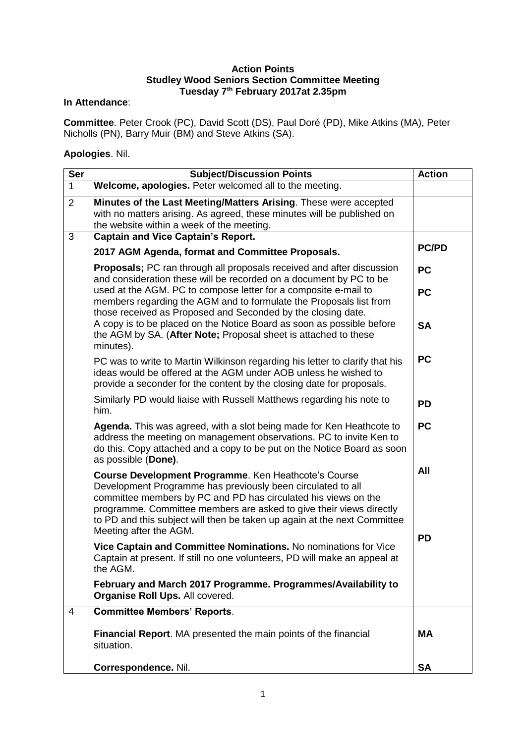## **Action Points Studley Wood Seniors Section Committee Meeting Tuesday 7 th February 2017at 2.35pm**

## **In Attendance**:

**Committee**. Peter Crook (PC), David Scott (DS), Paul Doré (PD), Mike Atkins (MA), Peter Nicholls (PN), Barry Muir (BM) and Steve Atkins (SA).

## **Apologies**. Nil.

| <b>Ser</b>     | <b>Subject/Discussion Points</b>                                                                                                                                                                                                                                                                                                                                   | <b>Action</b>    |
|----------------|--------------------------------------------------------------------------------------------------------------------------------------------------------------------------------------------------------------------------------------------------------------------------------------------------------------------------------------------------------------------|------------------|
| $\mathbf 1$    | Welcome, apologies. Peter welcomed all to the meeting.                                                                                                                                                                                                                                                                                                             |                  |
| $\overline{2}$ | Minutes of the Last Meeting/Matters Arising. These were accepted<br>with no matters arising. As agreed, these minutes will be published on<br>the website within a week of the meeting.                                                                                                                                                                            |                  |
| 3              | <b>Captain and Vice Captain's Report.</b>                                                                                                                                                                                                                                                                                                                          |                  |
|                | 2017 AGM Agenda, format and Committee Proposals.                                                                                                                                                                                                                                                                                                                   | <b>PC/PD</b>     |
|                | <b>Proposals;</b> PC ran through all proposals received and after discussion<br>and consideration these will be recorded on a document by PC to be                                                                                                                                                                                                                 | <b>PC</b>        |
|                | used at the AGM. PC to compose letter for a composite e-mail to<br>members regarding the AGM and to formulate the Proposals list from<br>those received as Proposed and Seconded by the closing date.                                                                                                                                                              | <b>PC</b>        |
|                | A copy is to be placed on the Notice Board as soon as possible before<br>the AGM by SA. (After Note; Proposal sheet is attached to these<br>minutes).                                                                                                                                                                                                              | <b>SA</b>        |
|                | PC was to write to Martin Wilkinson regarding his letter to clarify that his<br>ideas would be offered at the AGM under AOB unless he wished to<br>provide a seconder for the content by the closing date for proposals.                                                                                                                                           | <b>PC</b>        |
|                | Similarly PD would liaise with Russell Matthews regarding his note to<br>him.                                                                                                                                                                                                                                                                                      | <b>PD</b>        |
|                | <b>Agenda.</b> This was agreed, with a slot being made for Ken Heathcote to<br>address the meeting on management observations. PC to invite Ken to<br>do this. Copy attached and a copy to be put on the Notice Board as soon<br>as possible (Done).                                                                                                               | <b>PC</b>        |
|                | Course Development Programme. Ken Heathcote's Course<br>Development Programme has previously been circulated to all<br>committee members by PC and PD has circulated his views on the<br>programme. Committee members are asked to give their views directly<br>to PD and this subject will then be taken up again at the next Committee<br>Meeting after the AGM. | All<br><b>PD</b> |
|                | Vice Captain and Committee Nominations. No nominations for Vice<br>Captain at present. If still no one volunteers, PD will make an appeal at<br>the AGM.                                                                                                                                                                                                           |                  |
|                | February and March 2017 Programme. Programmes/Availability to<br>Organise Roll Ups. All covered.                                                                                                                                                                                                                                                                   |                  |
| 4              | <b>Committee Members' Reports.</b>                                                                                                                                                                                                                                                                                                                                 |                  |
|                | Financial Report. MA presented the main points of the financial<br>situation.                                                                                                                                                                                                                                                                                      | <b>MA</b>        |
|                | Correspondence. Nil.                                                                                                                                                                                                                                                                                                                                               | <b>SA</b>        |